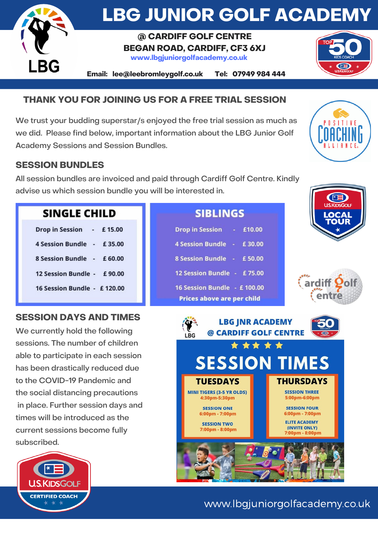

# **LBG JUNIOR GOLF ACADEMY**

### **@ CARDIFF GOLF CENTRE BEGAN ROAD, CARDIFF, CF3 6XJ www.lbgjuniorgolfacademy.co.uk**

**Email: lee@leebromleygolf.co.uk Tel: 07949 984 444**

## **THANK YOU FOR JOINING US FOR A FREE TRIAL SESSION**

We trust your budding superstar/s enjoyed the free trial session as much as we did. Please find below, important information about the LBG Junior Golf Academy Sessions and Session Bundles.

### **SESSION BUNDLES**

All session bundles are invoiced and paid through Cardiff Golf Centre. Kindly advise us which session bundle you will be interested in.

| <b>SINGLE CHILD</b>         |  |  |  |  |
|-----------------------------|--|--|--|--|
| Drop in Session - £15.00    |  |  |  |  |
| 4 Session Bundle - £35.00   |  |  |  |  |
| 8 Session Bundle - £60.00   |  |  |  |  |
| 12 Session Bundle - £90.00  |  |  |  |  |
| 16 Session Bundle - £120.00 |  |  |  |  |
|                             |  |  |  |  |

## **SESSION DAYS AND TIMES**

We currently hold the following sessions. The number of children able to participate in each session has been drastically reduced due to the COVID-19 Pandemic and the social distancing precautions in place. Further session days and times will be introduced as the current sessions become fully subscribed.



| <b>SIBLINGS</b> |  |  |  |
|-----------------|--|--|--|
|                 |  |  |  |

| <b>Drop in Session</b>      |             | $-$ £10.00 |  |  |  |
|-----------------------------|-------------|------------|--|--|--|
| <b>4 Session Bundle</b>     | <b>1940</b> | £30.00     |  |  |  |
| 8 Session Bundle - £50.00   |             |            |  |  |  |
| 12 Session Bundle - £75.00  |             |            |  |  |  |
| 16 Session Bundle - £100.00 |             |            |  |  |  |
| Prices above are per child  |             |            |  |  |  |



I. I. I A N C E





## www.lbgjuniorgolfacademy.co.uk